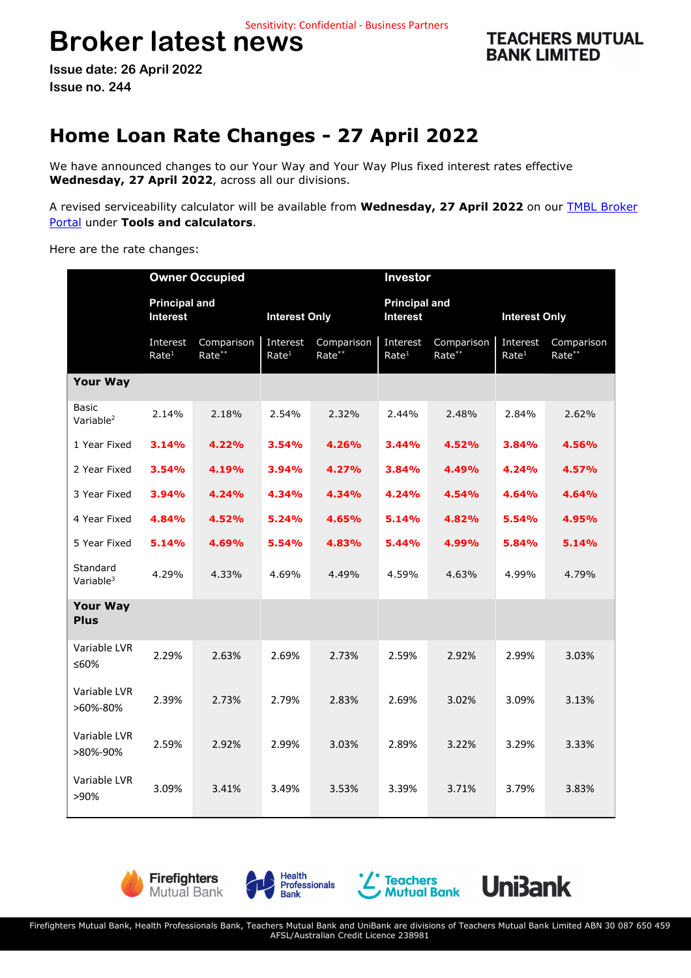# **Broker latest news**

**TEACHERS MUTUAL BANK LIMITED** 

**Issue date: 26 April 2022 Issue no. 244** 

# **Home Loan Rate Changes - 27 April 2022**

We have announced changes to our Your Way and Your Way Plus fixed interest rates effective **Wednesday, 27 April 2022**, across all our divisions.

A revised serviceability calculator will be available from **Wednesday, 27 April 2022** on our TMBL Broker Portal under **Tools and calculators**.

Here are the rate changes:

|                                       | <b>Owner Occupied</b>                   |                      |                               |                      | Investor                                |                      |                               |                      |
|---------------------------------------|-----------------------------------------|----------------------|-------------------------------|----------------------|-----------------------------------------|----------------------|-------------------------------|----------------------|
|                                       | <b>Principal and</b><br><b>Interest</b> |                      | <b>Interest Only</b>          |                      | <b>Principal and</b><br><b>Interest</b> |                      | <b>Interest Only</b>          |                      |
|                                       | Interest<br>Rate <sup>1</sup>           | Comparison<br>Rate** | Interest<br>Rate <sup>1</sup> | Comparison<br>Rate** | Interest<br>Rate <sup>1</sup>           | Comparison<br>Rate** | Interest<br>Rate <sup>1</sup> | Comparison<br>Rate** |
| <b>Your Way</b>                       |                                         |                      |                               |                      |                                         |                      |                               |                      |
| <b>Basic</b><br>Variable <sup>2</sup> | 2.14%                                   | 2.18%                | 2.54%                         | 2.32%                | 2.44%                                   | 2.48%                | 2.84%                         | 2.62%                |
| 1 Year Fixed                          | 3.14%                                   | 4.22%                | 3.54%                         | 4.26%                | 3.44%                                   | 4.52%                | 3.84%                         | 4.56%                |
| 2 Year Fixed                          | 3.54%                                   | 4.19%                | 3.94%                         | 4.27%                | 3.84%                                   | 4.49%                | 4.24%                         | 4.57%                |
| 3 Year Fixed                          | 3.94%                                   | 4.24%                | 4.34%                         | 4.34%                | 4.24%                                   | 4.54%                | 4.64%                         | 4.64%                |
| 4 Year Fixed                          | 4.84%                                   | 4.52%                | 5.24%                         | 4.65%                | 5.14%                                   | 4.82%                | 5.54%                         | 4.95%                |
| 5 Year Fixed                          | 5.14%                                   | 4.69%                | 5.54%                         | 4.83%                | 5.44%                                   | 4.99%                | 5.84%                         | 5.14%                |
| Standard<br>Variable <sup>3</sup>     | 4.29%                                   | 4.33%                | 4.69%                         | 4.49%                | 4.59%                                   | 4.63%                | 4.99%                         | 4.79%                |
| <b>Your Way</b><br><b>Plus</b>        |                                         |                      |                               |                      |                                         |                      |                               |                      |
| Variable LVR<br>≤60%                  | 2.29%                                   | 2.63%                | 2.69%                         | 2.73%                | 2.59%                                   | 2.92%                | 2.99%                         | 3.03%                |
| Variable LVR<br>>60%-80%              | 2.39%                                   | 2.73%                | 2.79%                         | 2.83%                | 2.69%                                   | 3.02%                | 3.09%                         | 3.13%                |
| Variable LVR<br>>80%-90%              | 2.59%                                   | 2.92%                | 2.99%                         | 3.03%                | 2.89%                                   | 3.22%                | 3.29%                         | 3.33%                |
| Variable LVR<br>>90%                  | 3.09%                                   | 3.41%                | 3.49%                         | 3.53%                | 3.39%                                   | 3.71%                | 3.79%                         | 3.83%                |







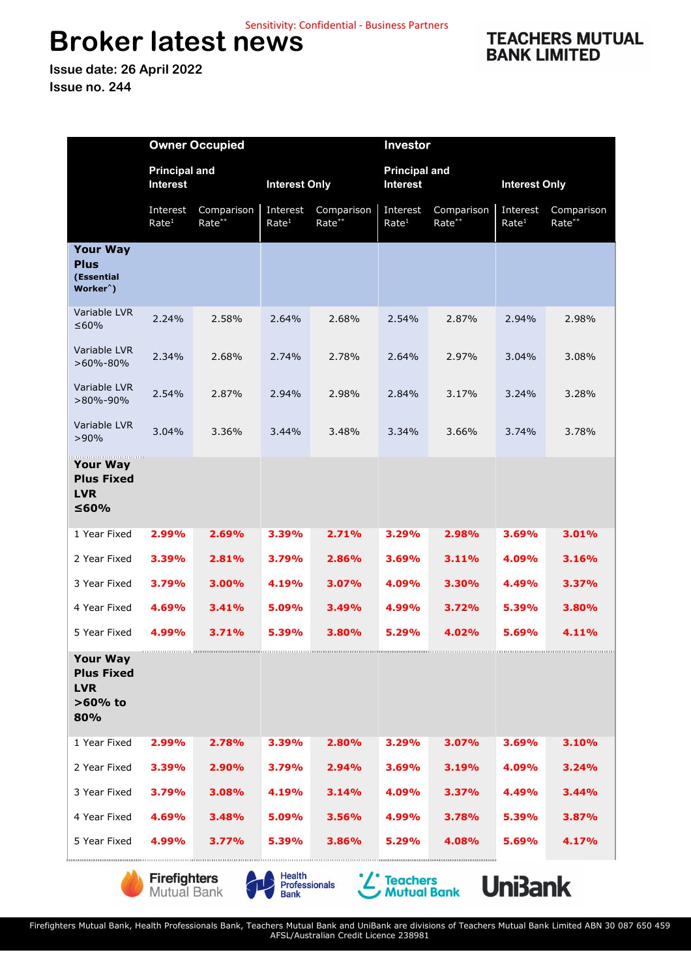## **Broker latest news**  Sensitivity: Confidential - Business Partners

**Issue date: 26 April 2022 Issue no. 244** 

|                                                                       | <b>Owner Occupied</b>            |                      |                               |                      | Investor                                |                      |                               |                      |
|-----------------------------------------------------------------------|----------------------------------|----------------------|-------------------------------|----------------------|-----------------------------------------|----------------------|-------------------------------|----------------------|
|                                                                       | <b>Principal and</b><br>Interest |                      | <b>Interest Only</b>          |                      | <b>Principal and</b><br><b>Interest</b> |                      | <b>Interest Only</b>          |                      |
|                                                                       | Interest<br>Rate <sup>1</sup>    | Comparison<br>Rate** | Interest<br>Rate <sup>1</sup> | Comparison<br>Rate** | Interest<br>Rate <sup>1</sup>           | Comparison<br>Rate** | Interest<br>Rate <sup>1</sup> | Comparison<br>Rate** |
| <b>Your Way</b><br><b>Plus</b><br>(Essential<br>Worker <sup>^</sup> ) |                                  |                      |                               |                      |                                         |                      |                               |                      |
| Variable LVR<br>≤ $60%$                                               | 2.24%                            | 2.58%                | 2.64%                         | 2.68%                | 2.54%                                   | 2.87%                | 2.94%                         | 2.98%                |
| Variable LVR<br>$>60\% - 80\%$                                        | 2.34%                            | 2.68%                | 2.74%                         | 2.78%                | 2.64%                                   | 2.97%                | 3.04%                         | 3.08%                |
| Variable LVR<br>$>80\% - 90\%$                                        | 2.54%                            | 2.87%                | 2.94%                         | 2.98%                | 2.84%                                   | 3.17%                | 3.24%                         | 3.28%                |
| Variable LVR<br>>90%                                                  | 3.04%                            | 3.36%                | 3.44%                         | 3.48%                | 3.34%                                   | 3.66%                | 3.74%                         | 3.78%                |
| <b>Your Way</b><br><b>Plus Fixed</b><br><b>LVR</b><br>≤60%            |                                  |                      |                               |                      |                                         |                      |                               |                      |
| 1 Year Fixed                                                          | 2.99%                            | 2.69%                | 3.39%                         | 2.71%                | 3.29%                                   | 2.98%                | 3.69%                         | 3.01%                |
| 2 Year Fixed                                                          | 3.39%                            | 2.81%                | 3.79%                         | 2.86%                | 3.69%                                   | 3.11%                | 4.09%                         | 3.16%                |
| 3 Year Fixed                                                          | 3.79%                            | 3.00%                | 4.19%                         | 3.07%                | 4.09%                                   | 3.30%                | 4.49%                         | 3.37%                |
| 4 Year Fixed                                                          | 4.69%                            | 3.41%                | 5.09%                         | 3.49%                | 4.99%                                   | 3.72%                | 5.39%                         | 3.80%                |
| 5 Year Fixed                                                          | 4.99%                            | 3.71%                | 5.39%                         | 3.80%                | 5.29%                                   | 4.02%                | 5.69%                         | 4.11%                |
| Your Way<br><b>Plus Fixed</b><br><b>LVR</b><br>$>60\%$ to<br>80%      |                                  |                      |                               |                      |                                         |                      |                               |                      |
| 1 Year Fixed                                                          | 2.99%                            | 2.78%                | 3.39%                         | 2.80%                | 3.29%                                   | 3.07%                | 3.69%                         | 3.10%                |
| 2 Year Fixed                                                          | 3.39%                            | 2.90%                | 3.79%                         | 2.94%                | 3.69%                                   | 3.19%                | 4.09%                         | 3.24%                |
| 3 Year Fixed                                                          | 3.79%                            | 3.08%                | 4.19%                         | 3.14%                | 4.09%                                   | 3.37%                | 4.49%                         | 3.44%                |
| 4 Year Fixed                                                          | 4.69%                            | 3.48%                | 5.09%                         | 3.56%                | 4.99%                                   | 3.78%                | 5.39%                         | 3.87%                |
| 5 Year Fixed                                                          | 4.99%                            | 3.77%                | 5.39%                         | 3.86%                | 5.29%                                   | 4.08%                | 5.69%                         | 4.17%                |







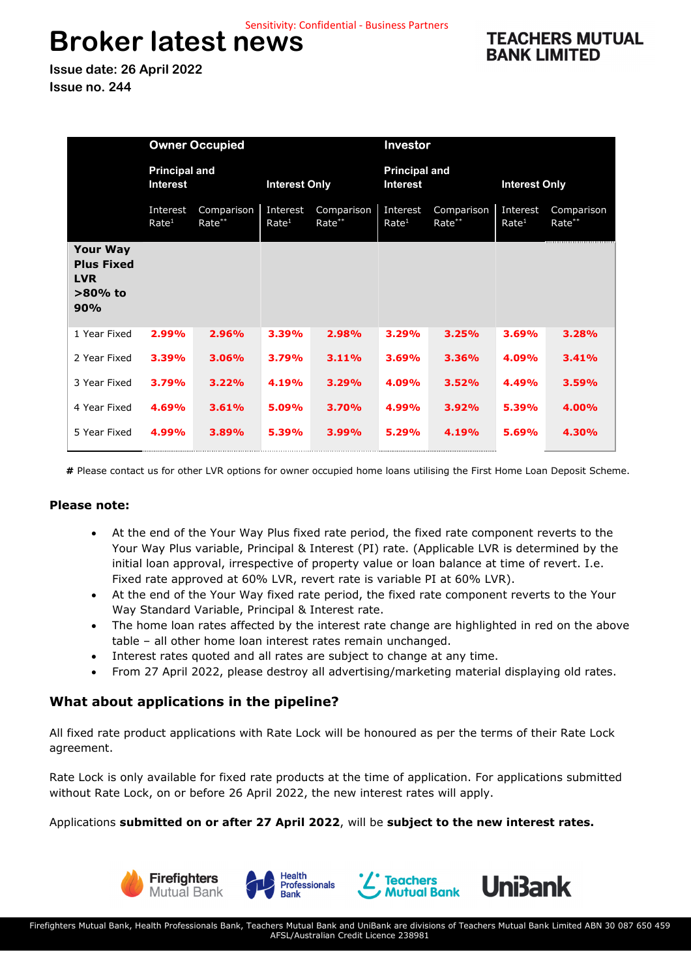## **Broker latest news**  Sensitivity: Confidential - Business Partners

**TEACHERS MUTUAL BANK LIMITED** 

**Issue date: 26 April 2022 Issue no. 244** 

|                                                                         | <b>Owner Occupied</b>                   |                      |                               |                      | Investor                                |                      |                               |                      |
|-------------------------------------------------------------------------|-----------------------------------------|----------------------|-------------------------------|----------------------|-----------------------------------------|----------------------|-------------------------------|----------------------|
|                                                                         | <b>Principal and</b><br><b>Interest</b> |                      | <b>Interest Only</b>          |                      | <b>Principal and</b><br><b>Interest</b> |                      | <b>Interest Only</b>          |                      |
|                                                                         | Interest<br>Rate <sup>1</sup>           | Comparison<br>Rate** | Interest<br>Rate <sup>1</sup> | Comparison<br>Rate** | Interest<br>Rate <sup>1</sup>           | Comparison<br>Rate** | Interest<br>Rate <sup>1</sup> | Comparison<br>Rate** |
| <b>Your Way</b><br><b>Plus Fixed</b><br><b>LVR</b><br>$>80\%$ to<br>90% |                                         |                      |                               |                      |                                         |                      |                               |                      |
| 1 Year Fixed                                                            | 2.99%                                   | 2.96%                | 3.39%                         | 2.98%                | 3.29%                                   | 3.25%                | 3.69%                         | 3.28%                |
| 2 Year Fixed                                                            | 3.39%                                   | 3.06%                | 3.79%                         | 3.11%                | 3.69%                                   | 3.36%                | 4.09%                         | 3.41%                |
| 3 Year Fixed                                                            | 3.79%                                   | 3.22%                | 4.19%                         | 3.29%                | 4.09%                                   | 3.52%                | 4.49%                         | 3.59%                |
| 4 Year Fixed                                                            | 4.69%                                   | 3.61%                | 5.09%                         | 3.70%                | 4.99%                                   | 3.92%                | 5.39%                         | 4.00%                |
| 5 Year Fixed                                                            | 4.99%                                   | 3.89%                | 5.39%                         | 3.99%                | 5.29%                                   | 4.19%                | 5.69%                         | 4.30%                |

**#** Please contact us for other LVR options for owner occupied home loans utilising the First Home Loan Deposit Scheme.

#### **Please note:**

- At the end of the Your Way Plus fixed rate period, the fixed rate component reverts to the Your Way Plus variable, Principal & Interest (PI) rate. (Applicable LVR is determined by the initial loan approval, irrespective of property value or loan balance at time of revert. I.e. Fixed rate approved at 60% LVR, revert rate is variable PI at 60% LVR).
- At the end of the Your Way fixed rate period, the fixed rate component reverts to the Your Way Standard Variable, Principal & Interest rate.
- The home loan rates affected by the interest rate change are highlighted in red on the above table – all other home loan interest rates remain unchanged.
- Interest rates quoted and all rates are subject to change at any time.
- From 27 April 2022, please destroy all advertising/marketing material displaying old rates.

### **What about applications in the pipeline?**

All fixed rate product applications with Rate Lock will be honoured as per the terms of their Rate Lock agreement.

Rate Lock is only available for fixed rate products at the time of application. For applications submitted without Rate Lock, on or before 26 April 2022, the new interest rates will apply.

#### Applications **submitted on or after 27 April 2022**, will be **subject to the new interest rates.**